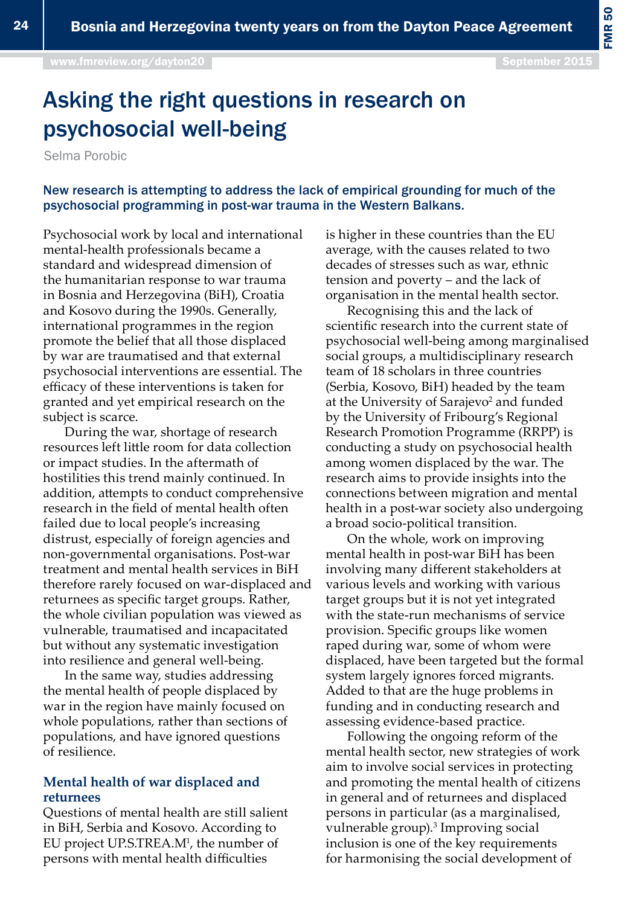FMR 50

# Asking the right questions in research on psychosocial well-being

Selma Porobic

New research is attempting to address the lack of empirical grounding for much of the psychosocial programming in post-war trauma in the Western Balkans.

Psychosocial work by local and international mental-health professionals became a standard and widespread dimension of the humanitarian response to war trauma in Bosnia and Herzegovina (BiH), Croatia and Kosovo during the 1990s. Generally, international programmes in the region promote the belief that all those displaced by war are traumatised and that external psychosocial interventions are essential. The efficacy of these interventions is taken for granted and yet empirical research on the subject is scarce.

During the war, shortage of research resources left little room for data collection or impact studies. In the aftermath of hostilities this trend mainly continued. In addition, attempts to conduct comprehensive research in the field of mental health often failed due to local people's increasing distrust, especially of foreign agencies and non-governmental organisations. Post-war treatment and mental health services in BiH therefore rarely focused on war-displaced and returnees as specific target groups. Rather, the whole civilian population was viewed as vulnerable, traumatised and incapacitated but without any systematic investigation into resilience and general well-being.

In the same way, studies addressing the mental health of people displaced by war in the region have mainly focused on whole populations, rather than sections of populations, and have ignored questions of resilience.

## **Mental health of war displaced and returnees**

Questions of mental health are still salient in BiH, Serbia and Kosovo. According to EU project UP.S.TREA.M<sup>1</sup>, the number of persons with mental health difficulties

is higher in these countries than the EU average, with the causes related to two decades of stresses such as war, ethnic tension and poverty – and the lack of organisation in the mental health sector.

Recognising this and the lack of scientific research into the current state of psychosocial well-being among marginalised social groups, a multidisciplinary research team of 18 scholars in three countries (Serbia, Kosovo, BiH) headed by the team at the University of Sarajevo<sup>2</sup> and funded by the University of Fribourg's Regional Research Promotion Programme (RRPP) is conducting a study on psychosocial health among women displaced by the war. The research aims to provide insights into the connections between migration and mental health in a post-war society also undergoing a broad socio-political transition.

On the whole, work on improving mental health in post-war BiH has been involving many different stakeholders at various levels and working with various target groups but it is not yet integrated with the state-run mechanisms of service provision. Specific groups like women raped during war, some of whom were displaced, have been targeted but the formal system largely ignores forced migrants. Added to that are the huge problems in funding and in conducting research and assessing evidence-based practice.

Following the ongoing reform of the mental health sector, new strategies of work aim to involve social services in protecting and promoting the mental health of citizens in general and of returnees and displaced persons in particular (as a marginalised, vulnerable group).<sup>3</sup> Improving social inclusion is one of the key requirements for harmonising the social development of